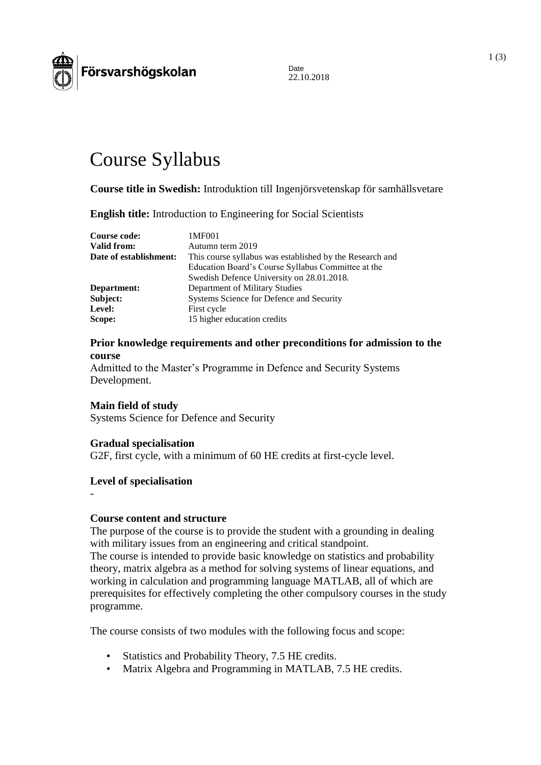

Date 22.10.2018

# Course Syllabus

**Course title in Swedish:** Introduktion till Ingenjörsvetenskap för samhällsvetare

**English title:** Introduction to Engineering for Social Scientists

| 1MF001                                                   |
|----------------------------------------------------------|
| Autumn term 2019                                         |
| This course syllabus was established by the Research and |
| Education Board's Course Syllabus Committee at the       |
| Swedish Defence University on 28.01.2018.                |
| Department of Military Studies                           |
| Systems Science for Defence and Security                 |
| First cycle                                              |
| 15 higher education credits                              |
|                                                          |

# **Prior knowledge requirements and other preconditions for admission to the course**

Admitted to the Master's Programme in Defence and Security Systems Development.

#### **Main field of study**

Systems Science for Defence and Security

#### **Gradual specialisation**

G2F, first cycle, with a minimum of 60 HE credits at first-cycle level.

#### **Level of specialisation**

# -

#### **Course content and structure**

The purpose of the course is to provide the student with a grounding in dealing with military issues from an engineering and critical standpoint.

The course is intended to provide basic knowledge on statistics and probability theory, matrix algebra as a method for solving systems of linear equations, and working in calculation and programming language MATLAB, all of which are prerequisites for effectively completing the other compulsory courses in the study programme.

The course consists of two modules with the following focus and scope:

- Statistics and Probability Theory, 7.5 HE credits.
- Matrix Algebra and Programming in MATLAB, 7.5 HE credits.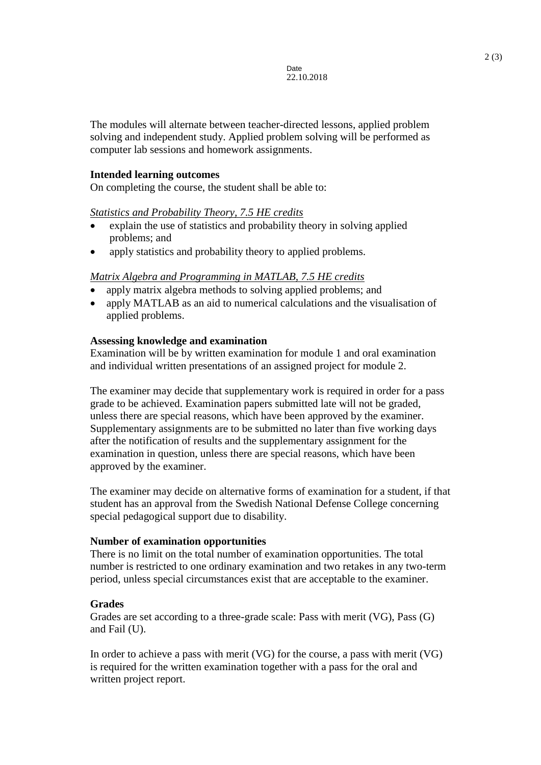The modules will alternate between teacher-directed lessons, applied problem solving and independent study. Applied problem solving will be performed as computer lab sessions and homework assignments.

# **Intended learning outcomes**

On completing the course, the student shall be able to:

# *Statistics and Probability Theory, 7.5 HE credits*

- explain the use of statistics and probability theory in solving applied problems; and
- apply statistics and probability theory to applied problems.

# *Matrix Algebra and Programming in MATLAB, 7.5 HE credits*

- apply matrix algebra methods to solving applied problems; and
- apply MATLAB as an aid to numerical calculations and the visualisation of applied problems.

# **Assessing knowledge and examination**

Examination will be by written examination for module 1 and oral examination and individual written presentations of an assigned project for module 2.

The examiner may decide that supplementary work is required in order for a pass grade to be achieved. Examination papers submitted late will not be graded, unless there are special reasons, which have been approved by the examiner. Supplementary assignments are to be submitted no later than five working days after the notification of results and the supplementary assignment for the examination in question, unless there are special reasons, which have been approved by the examiner.

The examiner may decide on alternative forms of examination for a student, if that student has an approval from the Swedish National Defense College concerning special pedagogical support due to disability.

#### **Number of examination opportunities**

There is no limit on the total number of examination opportunities. The total number is restricted to one ordinary examination and two retakes in any two-term period, unless special circumstances exist that are acceptable to the examiner.

# **Grades**

Grades are set according to a three-grade scale: Pass with merit (VG), Pass (G) and Fail (U).

In order to achieve a pass with merit (VG) for the course, a pass with merit (VG) is required for the written examination together with a pass for the oral and written project report.